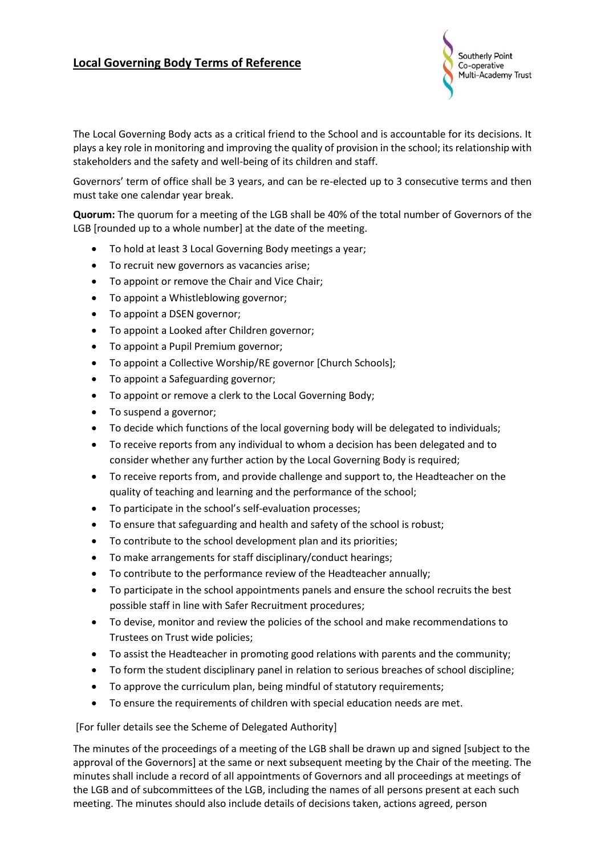## **Local Governing Body Terms of Reference**



The Local Governing Body acts as a critical friend to the School and is accountable for its decisions. It plays a key role in monitoring and improving the quality of provision in the school; its relationship with stakeholders and the safety and well-being of its children and staff.

Governors' term of office shall be 3 years, and can be re-elected up to 3 consecutive terms and then must take one calendar year break.

**Quorum:** The quorum for a meeting of the LGB shall be 40% of the total number of Governors of the LGB [rounded up to a whole number] at the date of the meeting.

- To hold at least 3 Local Governing Body meetings a year;
- To recruit new governors as vacancies arise;
- To appoint or remove the Chair and Vice Chair;
- To appoint a Whistleblowing governor;
- To appoint a DSEN governor;
- To appoint a Looked after Children governor;
- To appoint a Pupil Premium governor;
- To appoint a Collective Worship/RE governor [Church Schools];
- To appoint a Safeguarding governor;
- To appoint or remove a clerk to the Local Governing Body;
- To suspend a governor;
- To decide which functions of the local governing body will be delegated to individuals;
- To receive reports from any individual to whom a decision has been delegated and to consider whether any further action by the Local Governing Body is required;
- To receive reports from, and provide challenge and support to, the Headteacher on the quality of teaching and learning and the performance of the school;
- To participate in the school's self-evaluation processes;
- To ensure that safeguarding and health and safety of the school is robust;
- To contribute to the school development plan and its priorities;
- To make arrangements for staff disciplinary/conduct hearings;
- To contribute to the performance review of the Headteacher annually;
- To participate in the school appointments panels and ensure the school recruits the best possible staff in line with Safer Recruitment procedures;
- To devise, monitor and review the policies of the school and make recommendations to Trustees on Trust wide policies;
- To assist the Headteacher in promoting good relations with parents and the community;
- To form the student disciplinary panel in relation to serious breaches of school discipline;
- To approve the curriculum plan, being mindful of statutory requirements;
- To ensure the requirements of children with special education needs are met.

## [For fuller details see the Scheme of Delegated Authority]

The minutes of the proceedings of a meeting of the LGB shall be drawn up and signed [subject to the approval of the Governors] at the same or next subsequent meeting by the Chair of the meeting. The minutes shall include a record of all appointments of Governors and all proceedings at meetings of the LGB and of subcommittees of the LGB, including the names of all persons present at each such meeting. The minutes should also include details of decisions taken, actions agreed, person